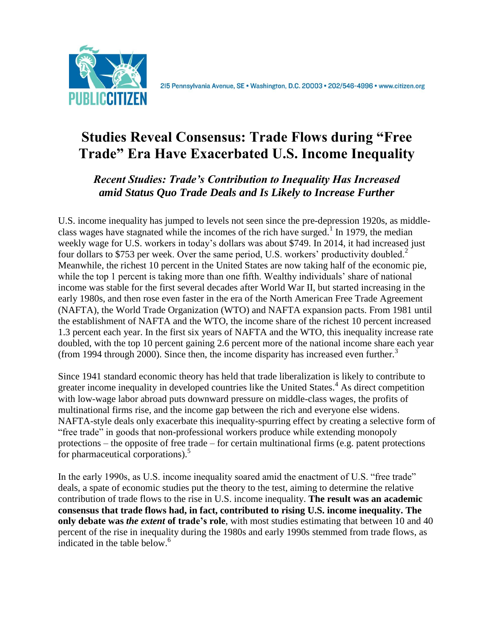

2I5 Pennsylvania Avenue, SE · Washington, D.C. 20003 · 202/546-4996 · www.citizen.org

# **Studies Reveal Consensus: Trade Flows during "Free Trade" Era Have Exacerbated U.S. Income Inequality**

# *Recent Studies: Trade's Contribution to Inequality Has Increased amid Status Quo Trade Deals and Is Likely to Increase Further*

U.S. income inequality has jumped to levels not seen since the pre-depression 1920s, as middleclass wages have stagnated while the incomes of the rich have surged.<sup>1</sup> In 1979, the median weekly wage for U.S. workers in today's dollars was about \$749. In 2014, it had increased just four dollars to \$753 per week. Over the same period, U.S. workers' productivity doubled.<sup>2</sup> Meanwhile, the richest 10 percent in the United States are now taking half of the economic pie, while the top 1 percent is taking more than one fifth. Wealthy individuals' share of national income was stable for the first several decades after World War II, but started increasing in the early 1980s, and then rose even faster in the era of the North American Free Trade Agreement (NAFTA), the World Trade Organization (WTO) and NAFTA expansion pacts. From 1981 until the establishment of NAFTA and the WTO, the income share of the richest 10 percent increased 1.3 percent each year. In the first six years of NAFTA and the WTO, this inequality increase rate doubled, with the top 10 percent gaining 2.6 percent more of the national income share each year (from 1994 through 2000). Since then, the income disparity has increased even further.<sup>3</sup>

Since 1941 standard economic theory has held that trade liberalization is likely to contribute to greater income inequality in developed countries like the United States.<sup>4</sup> As direct competition with low-wage labor abroad puts downward pressure on middle-class wages, the profits of multinational firms rise, and the income gap between the rich and everyone else widens. NAFTA-style deals only exacerbate this inequality-spurring effect by creating a selective form of "free trade" in goods that non-professional workers produce while extending monopoly protections – the opposite of free trade – for certain multinational firms (e.g. patent protections for pharmaceutical corporations).<sup>5</sup>

In the early 1990s, as U.S. income inequality soared amid the enactment of U.S. "free trade" deals, a spate of economic studies put the theory to the test, aiming to determine the relative contribution of trade flows to the rise in U.S. income inequality. **The result was an academic consensus that trade flows had, in fact, contributed to rising U.S. income inequality. The only debate was** *the extent* **of trade's role**, with most studies estimating that between 10 and 40 percent of the rise in inequality during the 1980s and early 1990s stemmed from trade flows, as indicated in the table below.<sup>6</sup>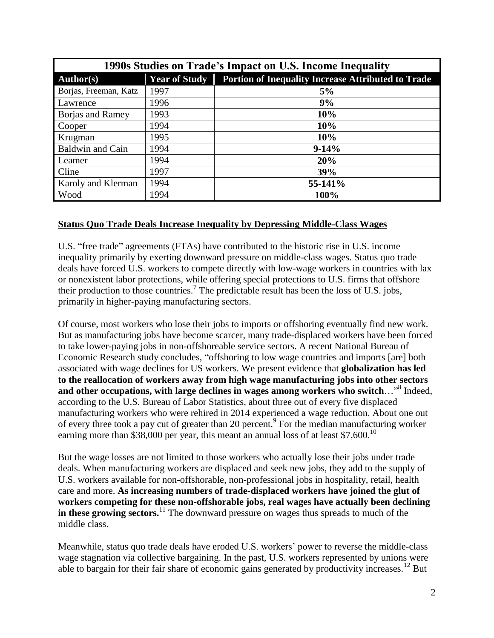| 1990s Studies on Trade's Impact on U.S. Income Inequality |                      |                                                           |
|-----------------------------------------------------------|----------------------|-----------------------------------------------------------|
| <b>Author(s)</b>                                          | <b>Year of Study</b> | <b>Portion of Inequality Increase Attributed to Trade</b> |
| Borjas, Freeman, Katz                                     | 1997                 | 5%                                                        |
| <b>Lawrence</b>                                           | 1996                 | 9%                                                        |
| Borjas and Ramey                                          | 1993                 | 10%                                                       |
| Cooper                                                    | 1994                 | 10%                                                       |
| Krugman                                                   | 1995                 | 10%                                                       |
| <b>Baldwin and Cain</b>                                   | 1994                 | $9-14%$                                                   |
| Leamer                                                    | 1994                 | 20%                                                       |
| Cline                                                     | 1997                 | 39%                                                       |
| <b>Karoly and Klerman</b>                                 | 1994                 | 55-141%                                                   |
| Wood                                                      | 1994                 | 100%                                                      |

#### **Status Quo Trade Deals Increase Inequality by Depressing Middle-Class Wages**

U.S. "free trade" agreements (FTAs) have contributed to the historic rise in U.S. income inequality primarily by exerting downward pressure on middle-class wages. Status quo trade deals have forced U.S. workers to compete directly with low-wage workers in countries with lax or nonexistent labor protections, while offering special protections to U.S. firms that offshore their production to those countries.<sup>7</sup> The predictable result has been the loss of U.S. jobs, primarily in higher-paying manufacturing sectors.

Of course, most workers who lose their jobs to imports or offshoring eventually find new work. But as manufacturing jobs have become scarcer, many trade-displaced workers have been forced to take lower-paying jobs in non-offshoreable service sectors. A recent National Bureau of Economic Research study concludes, "offshoring to low wage countries and imports [are] both associated with wage declines for US workers. We present evidence that **globalization has led to the reallocation of workers away from high wage manufacturing jobs into other sectors**  and other occupations, with large declines in wages among workers who switch..."<sup>8</sup> Indeed, according to the U.S. Bureau of Labor Statistics, about three out of every five displaced manufacturing workers who were rehired in 2014 experienced a wage reduction. About one out of every three took a pay cut of greater than 20 percent.<sup>9</sup> For the median manufacturing worker earning more than \$38,000 per year, this meant an annual loss of at least \$7,600.<sup>10</sup>

But the wage losses are not limited to those workers who actually lose their jobs under trade deals. When manufacturing workers are displaced and seek new jobs, they add to the supply of U.S. workers available for non-offshorable, non-professional jobs in hospitality, retail, health care and more. **As increasing numbers of trade-displaced workers have joined the glut of workers competing for these non-offshorable jobs, real wages have actually been declining in these growing sectors.**<sup>11</sup> The downward pressure on wages thus spreads to much of the middle class.

Meanwhile, status quo trade deals have eroded U.S. workers' power to reverse the middle-class wage stagnation via collective bargaining. In the past, U.S. workers represented by unions were able to bargain for their fair share of economic gains generated by productivity increases.<sup>12</sup> But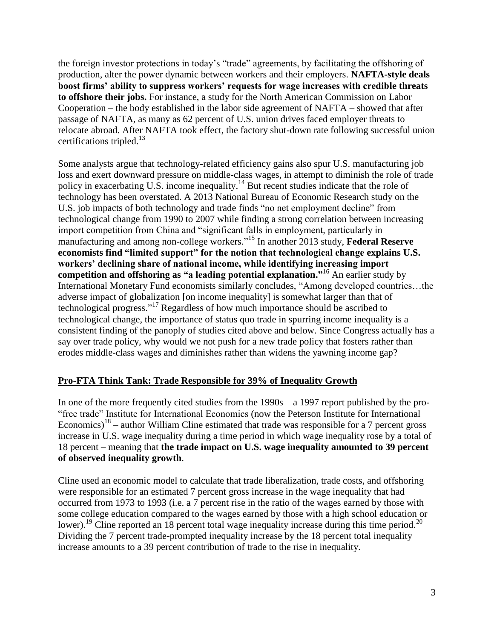the foreign investor protections in today's "trade" agreements, by facilitating the offshoring of production, alter the power dynamic between workers and their employers. **NAFTA-style deals boost firms' ability to suppress workers' requests for wage increases with credible threats to offshore their jobs.** For instance, a study for the North American Commission on Labor Cooperation – the body established in the labor side agreement of NAFTA – showed that after passage of NAFTA, as many as 62 percent of U.S. union drives faced employer threats to relocate abroad. After NAFTA took effect, the factory shut-down rate following successful union certifications tripled. $^{13}$ 

Some analysts argue that technology-related efficiency gains also spur U.S. manufacturing job loss and exert downward pressure on middle-class wages, in attempt to diminish the role of trade policy in exacerbating U.S. income inequality.<sup>14</sup> But recent studies indicate that the role of technology has been overstated. A 2013 National Bureau of Economic Research study on the U.S. job impacts of both technology and trade finds "no net employment decline" from technological change from 1990 to 2007 while finding a strong correlation between increasing import competition from China and "significant falls in employment, particularly in manufacturing and among non-college workers." <sup>15</sup> In another 2013 study, **Federal Reserve economists find "limited support" for the notion that technological change explains U.S. workers' declining share of national income, while identifying increasing import competition and offshoring as "a leading potential explanation."**<sup>16</sup> An earlier study by International Monetary Fund economists similarly concludes, "Among developed countries…the adverse impact of globalization [on income inequality] is somewhat larger than that of technological progress." <sup>17</sup> Regardless of how much importance should be ascribed to technological change, the importance of status quo trade in spurring income inequality is a consistent finding of the panoply of studies cited above and below. Since Congress actually has a say over trade policy, why would we not push for a new trade policy that fosters rather than erodes middle-class wages and diminishes rather than widens the yawning income gap?

# **Pro-FTA Think Tank: Trade Responsible for 39% of Inequality Growth**

In one of the more frequently cited studies from the 1990s – a 1997 report published by the pro- "free trade" Institute for International Economics (now the Peterson Institute for International Economics)<sup>18</sup> – author William Cline estimated that trade was responsible for a 7 percent gross increase in U.S. wage inequality during a time period in which wage inequality rose by a total of 18 percent – meaning that **the trade impact on U.S. wage inequality amounted to 39 percent of observed inequality growth**.

Cline used an economic model to calculate that trade liberalization, trade costs, and offshoring were responsible for an estimated 7 percent gross increase in the wage inequality that had occurred from 1973 to 1993 (i.e. a 7 percent rise in the ratio of the wages earned by those with some college education compared to the wages earned by those with a high school education or lower).<sup>19</sup> Cline reported an 18 percent total wage inequality increase during this time period.<sup>20</sup> Dividing the 7 percent trade-prompted inequality increase by the 18 percent total inequality increase amounts to a 39 percent contribution of trade to the rise in inequality.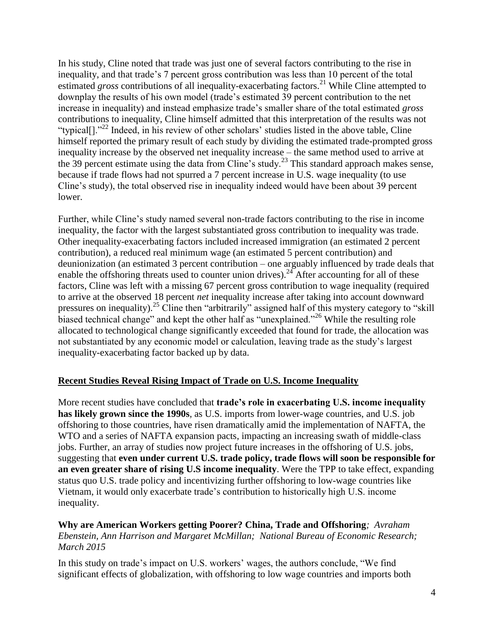In his study, Cline noted that trade was just one of several factors contributing to the rise in inequality, and that trade's 7 percent gross contribution was less than 10 percent of the total estimated *gross* contributions of all inequality-exacerbating factors.<sup>21</sup> While Cline attempted to downplay the results of his own model (trade's estimated 39 percent contribution to the net increase in inequality) and instead emphasize trade's smaller share of the total estimated *gross*  contributions to inequality, Cline himself admitted that this interpretation of the results was not "typical[]."<sup>22</sup> Indeed, in his review of other scholars' studies listed in the above table, Cline himself reported the primary result of each study by dividing the estimated trade-prompted gross inequality increase by the observed net inequality increase – the same method used to arrive at the 39 percent estimate using the data from Cline's study.<sup>23</sup> This standard approach makes sense, because if trade flows had not spurred a 7 percent increase in U.S. wage inequality (to use Cline's study), the total observed rise in inequality indeed would have been about 39 percent lower.

Further, while Cline's study named several non-trade factors contributing to the rise in income inequality, the factor with the largest substantiated gross contribution to inequality was trade. Other inequality-exacerbating factors included increased immigration (an estimated 2 percent contribution), a reduced real minimum wage (an estimated 5 percent contribution) and deunionization (an estimated 3 percent contribution – one arguably influenced by trade deals that enable the offshoring threats used to counter union drives).<sup>24</sup> After accounting for all of these factors, Cline was left with a missing 67 percent gross contribution to wage inequality (required to arrive at the observed 18 percent *net* inequality increase after taking into account downward pressures on inequality).<sup>25</sup> Cline then "arbitrarily" assigned half of this mystery category to "skill biased technical change" and kept the other half as "unexplained."<sup>26</sup> While the resulting role allocated to technological change significantly exceeded that found for trade, the allocation was not substantiated by any economic model or calculation, leaving trade as the study's largest inequality-exacerbating factor backed up by data.

# **Recent Studies Reveal Rising Impact of Trade on U.S. Income Inequality**

More recent studies have concluded that **trade's role in exacerbating U.S. income inequality has likely grown since the 1990s**, as U.S. imports from lower-wage countries, and U.S. job offshoring to those countries, have risen dramatically amid the implementation of NAFTA, the WTO and a series of NAFTA expansion pacts, impacting an increasing swath of middle-class jobs. Further, an array of studies now project future increases in the offshoring of U.S. jobs, suggesting that **even under current U.S. trade policy, trade flows will soon be responsible for an even greater share of rising U.S income inequality**. Were the TPP to take effect, expanding status quo U.S. trade policy and incentivizing further offshoring to low-wage countries like Vietnam, it would only exacerbate trade's contribution to historically high U.S. income inequality.

#### **Why are American Workers getting Poorer? China, Trade and Offshoring***; Avraham Ebenstein, Ann Harrison and Margaret McMillan; National Bureau of Economic Research; March 2015*

In this study on trade's impact on U.S. workers' wages, the authors conclude, "We find significant effects of globalization, with offshoring to low wage countries and imports both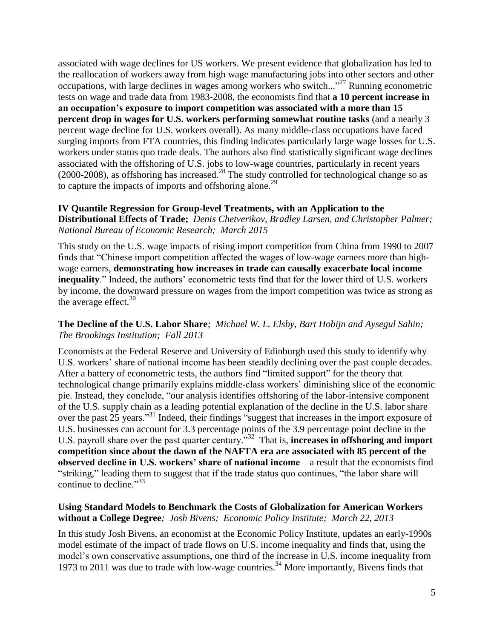associated with wage declines for US workers. We present evidence that globalization has led to the reallocation of workers away from high wage manufacturing jobs into other sectors and other occupations, with large declines in wages among workers who switch..."<sup>27</sup> Running econometric tests on wage and trade data from 1983-2008, the economists find that **a 10 percent increase in an occupation's exposure to import competition was associated with a more than 15 percent drop in wages for U.S. workers performing somewhat routine tasks** (and a nearly 3 percent wage decline for U.S. workers overall). As many middle-class occupations have faced surging imports from FTA countries, this finding indicates particularly large wage losses for U.S. workers under status quo trade deals. The authors also find statistically significant wage declines associated with the offshoring of U.S. jobs to low-wage countries, particularly in recent years (2000-2008), as offshoring has increased. <sup>28</sup> The study controlled for technological change so as to capture the impacts of imports and offshoring alone.<sup>29</sup>

#### **IV Quantile Regression for Group-level Treatments, with an Application to the Distributional Effects of Trade;** *Denis Chetverikov, Bradley Larsen, and Christopher Palmer; National Bureau of Economic Research; March 2015*

This study on the U.S. wage impacts of rising import competition from China from 1990 to 2007 finds that "Chinese import competition affected the wages of low-wage earners more than highwage earners, **demonstrating how increases in trade can causally exacerbate local income inequality**." Indeed, the authors' econometric tests find that for the lower third of U.S. workers by income, the downward pressure on wages from the import competition was twice as strong as the average effect.  $30<sup>30</sup>$ 

#### **The Decline of the U.S. Labor Share***; Michael W. L. Elsby, Bart Hobijn and Aysegul Sahin; The Brookings Institution; Fall 2013*

Economists at the Federal Reserve and University of Edinburgh used this study to identify why U.S. workers' share of national income has been steadily declining over the past couple decades. After a battery of econometric tests, the authors find "limited support" for the theory that technological change primarily explains middle-class workers' diminishing slice of the economic pie. Instead, they conclude, "our analysis identifies offshoring of the labor-intensive component of the U.S. supply chain as a leading potential explanation of the decline in the U.S. labor share over the past 25 years."<sup>31</sup> Indeed, their findings "suggest that increases in the import exposure of U.S. businesses can account for 3.3 percentage points of the 3.9 percentage point decline in the U.S. payroll share over the past quarter century.<sup>"32</sup> That is, **increases in offshoring and import competition since about the dawn of the NAFTA era are associated with 85 percent of the observed decline in U.S. workers' share of national income** – a result that the economists find "striking," leading them to suggest that if the trade status quo continues, "the labor share will continue to decline."<sup>33</sup>

# **Using Standard Models to Benchmark the Costs of Globalization for American Workers without a College Degree***;**Josh Bivens; Economic Policy Institute; March 22, 2013*

In this study Josh Bivens, an economist at the Economic Policy Institute, updates an early-1990s model estimate of the impact of trade flows on U.S. income inequality and finds that, using the model's own conservative assumptions, one third of the increase in U.S. income inequality from 1973 to 2011 was due to trade with low-wage countries.<sup>34</sup> More importantly, Bivens finds that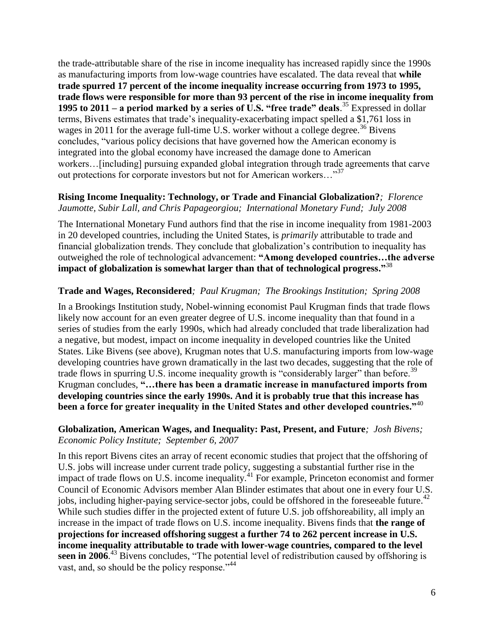the trade-attributable share of the rise in income inequality has increased rapidly since the 1990s as manufacturing imports from low-wage countries have escalated. The data reveal that **while trade spurred 17 percent of the income inequality increase occurring from 1973 to 1995, trade flows were responsible for more than 93 percent of the rise in income inequality from 1995 to 2011 – a period marked by a series of U.S. "free trade" deals.**<sup>35</sup> Expressed in dollar terms, Bivens estimates that trade's inequality-exacerbating impact spelled a \$1,761 loss in wages in 2011 for the average full-time U.S. worker without a college degree.<sup>36</sup> Bivens concludes, "various policy decisions that have governed how the American economy is integrated into the global economy have increased the damage done to American workers…[including] pursuing expanded global integration through trade agreements that carve out protections for corporate investors but not for American workers..."<sup>37</sup>

#### **Rising Income Inequality: Technology, or Trade and Financial Globalization?***; Florence Jaumotte, Subir Lall, and Chris Papageorgiou; International Monetary Fund; July 2008*

The International Monetary Fund authors find that the rise in income inequality from 1981-2003 in 20 developed countries, including the United States, is *primarily* attributable to trade and financial globalization trends. They conclude that globalization's contribution to inequality has outweighed the role of technological advancement: **"Among developed countries…the adverse impact of globalization is somewhat larger than that of technological progress."** 38

# **Trade and Wages, Reconsidered***; Paul Krugman; The Brookings Institution; Spring 2008*

In a Brookings Institution study, Nobel-winning economist Paul Krugman finds that trade flows likely now account for an even greater degree of U.S. income inequality than that found in a series of studies from the early 1990s, which had already concluded that trade liberalization had a negative, but modest, impact on income inequality in developed countries like the United States. Like Bivens (see above), Krugman notes that U.S. manufacturing imports from low-wage developing countries have grown dramatically in the last two decades, suggesting that the role of trade flows in spurring U.S. income inequality growth is "considerably larger" than before.<sup>39</sup> Krugman concludes, **"…there has been a dramatic increase in manufactured imports from developing countries since the early 1990s. And it is probably true that this increase has been a force for greater inequality in the United States and other developed countries."**<sup>40</sup>

#### **Globalization, American Wages, and Inequality: Past, Present, and Future***; Josh Bivens; Economic Policy Institute; September 6, 2007*

In this report Bivens cites an array of recent economic studies that project that the offshoring of U.S. jobs will increase under current trade policy, suggesting a substantial further rise in the impact of trade flows on U.S. income inequality.<sup>41</sup> For example, Princeton economist and former Council of Economic Advisors member Alan Blinder estimates that about one in every four U.S. jobs, including higher-paying service-sector jobs, could be offshored in the foreseeable future.<sup>42</sup> While such studies differ in the projected extent of future U.S. job offshoreability, all imply an increase in the impact of trade flows on U.S. income inequality. Bivens finds that **the range of projections for increased offshoring suggest a further 74 to 262 percent increase in U.S. income inequality attributable to trade with lower-wage countries, compared to the level**  seen in 2006.<sup>43</sup> Bivens concludes, "The potential level of redistribution caused by offshoring is vast, and, so should be the policy response."<sup>44</sup>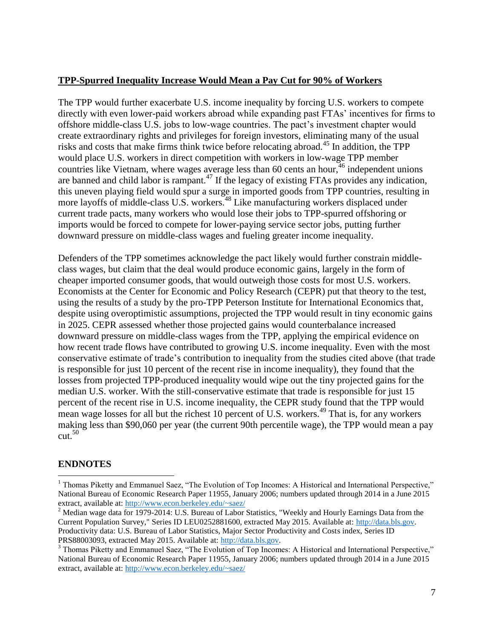#### **TPP-Spurred Inequality Increase Would Mean a Pay Cut for 90% of Workers**

The TPP would further exacerbate U.S. income inequality by forcing U.S. workers to compete directly with even lower-paid workers abroad while expanding past FTAs' incentives for firms to offshore middle-class U.S. jobs to low-wage countries. The pact's investment chapter would create extraordinary rights and privileges for foreign investors, eliminating many of the usual risks and costs that make firms think twice before relocating abroad.<sup>45</sup> In addition, the TPP would place U.S. workers in direct competition with workers in low-wage TPP member countries like Vietnam, where wages average less than 60 cents an hour,  $46$  independent unions are banned and child labor is rampant.<sup>47</sup> If the legacy of existing FTAs provides any indication, this uneven playing field would spur a surge in imported goods from TPP countries, resulting in more layoffs of middle-class U.S. workers.<sup>48</sup> Like manufacturing workers displaced under current trade pacts, many workers who would lose their jobs to TPP-spurred offshoring or imports would be forced to compete for lower-paying service sector jobs, putting further downward pressure on middle-class wages and fueling greater income inequality.

Defenders of the TPP sometimes acknowledge the pact likely would further constrain middleclass wages, but claim that the deal would produce economic gains, largely in the form of cheaper imported consumer goods, that would outweigh those costs for most U.S. workers. Economists at the Center for Economic and Policy Research (CEPR) put that theory to the test, using the results of a study by the pro-TPP Peterson Institute for International Economics that, despite using overoptimistic assumptions, projected the TPP would result in tiny economic gains in 2025. CEPR assessed whether those projected gains would counterbalance increased downward pressure on middle-class wages from the TPP, applying the empirical evidence on how recent trade flows have contributed to growing U.S. income inequality. Even with the most conservative estimate of trade's contribution to inequality from the studies cited above (that trade is responsible for just 10 percent of the recent rise in income inequality), they found that the losses from projected TPP-produced inequality would wipe out the tiny projected gains for the median U.S. worker. With the still-conservative estimate that trade is responsible for just 15 percent of the recent rise in U.S. income inequality, the CEPR study found that the TPP would mean wage losses for all but the richest 10 percent of U.S. workers.<sup>49</sup> That is, for any workers making less than \$90,060 per year (the current 90th percentile wage), the TPP would mean a pay  $cut<sup>50</sup>$ 

# **ENDNOTES**

 $\overline{\phantom{a}}$ 

<sup>&</sup>lt;sup>1</sup> Thomas Piketty and Emmanuel Saez, "The Evolution of Top Incomes: A Historical and International Perspective," National Bureau of Economic Research Paper 11955, January 2006; numbers updated through 2014 in a June 2015 extract, available at:<http://www.econ.berkeley.edu/~saez/>

<sup>&</sup>lt;sup>2</sup> Median wage data for 1979-2014: U.S. Bureau of Labor Statistics, "Weekly and Hourly Earnings Data from the Current Population Survey," Series ID LEU0252881600, extracted May 2015. Available at: [http://data.bls.gov.](http://data.bls.gov/) Productivity data: U.S. Bureau of Labor Statistics, Major Sector Productivity and Costs index, Series ID PRS88003093, extracted May 2015. Available at: [http://data.bls.gov.](http://data.bls.gov/)

<sup>&</sup>lt;sup>3</sup> Thomas Piketty and Emmanuel Saez, "The Evolution of Top Incomes: A Historical and International Perspective," National Bureau of Economic Research Paper 11955, January 2006; numbers updated through 2014 in a June 2015 extract, available at:<http://www.econ.berkeley.edu/~saez/>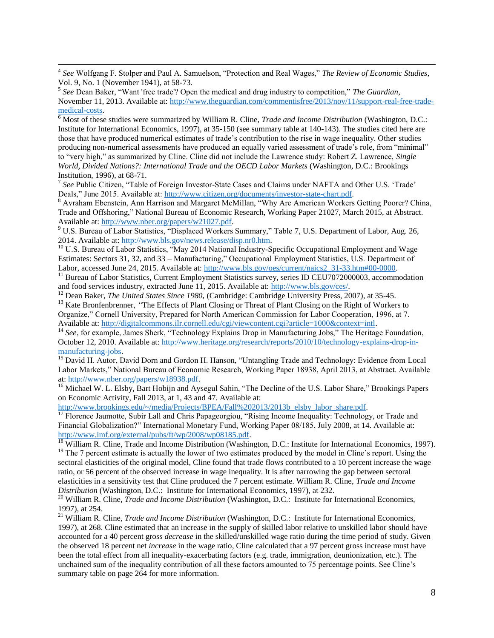4 *See* Wolfgang F. Stolper and Paul A. Samuelson, "Protection and Real Wages," *The Review of Economic Studies,* Vol. 9, No. 1 (November 1941), at 58-73.

 $\overline{\phantom{a}}$ 

<sup>6</sup> Most of these studies were summarized by William R. Cline, *Trade and Income Distribution* (Washington, D.C.: Institute for International Economics, 1997), at 35-150 (see summary table at 140-143). The studies cited here are those that have produced numerical estimates of trade's contribution to the rise in wage inequality. Other studies producing non-numerical assessments have produced an equally varied assessment of trade's role, from "minimal" to "very high," as summarized by Cline. Cline did not include the Lawrence study: Robert Z. Lawrence, *Single World, Divided Nations?: International Trade and the OECD Labor Markets* (Washington, D.C.: Brookings Institution, 1996), at 68-71.

<sup>7</sup> See Public Citizen, "Table of Foreign Investor-State Cases and Claims under NAFTA and Other U.S. 'Trade' Deals," June 2015. Available at: [http://www.citizen.org/documents/investor-state-chart.pdf.](http://www.citizen.org/documents/investor-state-chart.pdf)

<sup>8</sup> Avraham Ebenstein, Ann Harrison and Margaret McMillan, "Why Are American Workers Getting Poorer? China, Trade and Offshoring," National Bureau of Economic Research, Working Paper 21027, March 2015, at Abstract. Available at: [http://www.nber.org/papers/w21027.pdf.](http://www.nber.org/papers/w21027.pdf)

<sup>9</sup> U.S. Bureau of Labor Statistics, "Displaced Workers Summary," Table 7, U.S. Department of Labor, Aug. 26, 2014. Available at: [http://www.bls.gov/news.release/disp.nr0.htm.](http://www.bls.gov/news.release/disp.nr0.htm)

<sup>10</sup> U.S. Bureau of Labor Statistics, "May 2014 National Industry-Specific Occupational Employment and Wage Estimates: Sectors 31, 32, and 33 – Manufacturing," Occupational Employment Statistics, U.S. Department of Labor, accessed June 24, 2015. Available at: [http://www.bls.gov/oes/current/naics2\\_31-33.htm#00-0000.](http://www.bls.gov/oes/current/naics2_31-33.htm#00-0000)

<sup>11</sup> Bureau of Labor Statistics, Current Employment Statistics survey, series ID CEU7072000003, accommodation and food services industry, extracted June 11, 2015. Available at: [http://www.bls.gov/ces/.](http://www.bls.gov/ces/)

<sup>12</sup> Dean Baker, *The United States Since 1980,* (Cambridge: Cambridge University Press, 2007), at 35-45.

<sup>13</sup> Kate Bronfenbrenner, *"The Effects of Plant Closing or Threat of Plant Closing on the Right of Workers to* Organize," Cornell University, Prepared for North American Commission for Labor Cooperation, 1996, at 7. Available at: [http://digitalcommons.ilr.cornell.edu/cgi/viewcontent.cgi?article=1000&context=intl.](http://digitalcommons.ilr.cornell.edu/cgi/viewcontent.cgi?article=1000&context=intl) 

<sup>14</sup> See, for example, James Sherk, "Technology Explains Drop in Manufacturing Jobs," The Heritage Foundation, October 12, 2010. Available at: [http://www.heritage.org/research/reports/2010/10/technology-explains-drop-in](http://www.heritage.org/research/reports/2010/10/technology-explains-drop-in-manufacturing-jobs)[manufacturing-jobs.](http://www.heritage.org/research/reports/2010/10/technology-explains-drop-in-manufacturing-jobs) 

<sup>15</sup> David H. Autor, David Dorn and Gordon H. Hanson, "Untangling Trade and Technology: Evidence from Local Labor Markets," National Bureau of Economic Research, Working Paper 18938, April 2013, at Abstract. Available at: [http://www.nber.org/papers/w18938.pdf.](http://www.nber.org/papers/w18938.pdf)

<sup>16</sup> Michael W. L. Elsby, Bart Hobijn and Aysegul Sahin, "The Decline of the U.S. Labor Share," Brookings Papers on Economic Activity, Fall 2013, at 1, 43 and 47. Available at:

[http://www.brookings.edu/~/media/Projects/BPEA/Fall%202013/2013b\\_elsby\\_labor\\_share.pdf.](http://www.brookings.edu/~/media/Projects/BPEA/Fall%202013/2013b_elsby_labor_share.pdf)

<sup>17</sup> Florence Jaumotte, Subir Lall and Chris Papageorgiou, "Rising Income Inequality: Technology, or Trade and Financial Globalization?" International Monetary Fund, Working Paper 08/185, July 2008, at 14. Available at: [http://www.imf.org/external/pubs/ft/wp/2008/wp08185.pdf.](http://www.imf.org/external/pubs/ft/wp/2008/wp08185.pdf)

 $\frac{18}{18}$  William R. Cline, Trade and Income Distribution (Washington, D.C.: Institute for International Economics, 1997).  $19$  The 7 percent estimate is actually the lower of two estimates produced by the model in Cline's report. Using the sectoral elasticities of the original model, Cline found that trade flows contributed to a 10 percent increase the wage ratio, or 56 percent of the observed increase in wage inequality. It is after narrowing the gap between sectoral elasticities in a sensitivity test that Cline produced the 7 percent estimate. William R. Cline, *Trade and Income Distribution* (Washington, D.C.: Institute for International Economics, 1997), at 232.

<sup>20</sup> William R. Cline, *Trade and Income Distribution* (Washington, D.C.: Institute for International Economics, 1997), at 254.

<sup>21</sup> William R. Cline, *Trade and Income Distribution* (Washington, D.C.: Institute for International Economics, 1997), at 268. Cline estimated that an increase in the supply of skilled labor relative to unskilled labor should have accounted for a 40 percent gross *decrease* in the skilled/unskilled wage ratio during the time period of study. Given the observed 18 percent net *increase* in the wage ratio, Cline calculated that a 97 percent gross increase must have been the total effect from all inequality-exacerbating factors (e.g. trade, immigration, deunionization, etc.). The unchained sum of the inequality contribution of all these factors amounted to 75 percentage points. See Cline's summary table on page 264 for more information.

<sup>5</sup> *See* Dean Baker, "Want 'free trade'? Open the medical and drug industry to competition," *The Guardian*, November 11, 2013. Available at: [http://www.theguardian.com/commentisfree/2013/nov/11/support-real-free-trade](http://www.theguardian.com/commentisfree/2013/nov/11/support-real-free-trade-medical-costs)[medical-costs.](http://www.theguardian.com/commentisfree/2013/nov/11/support-real-free-trade-medical-costs)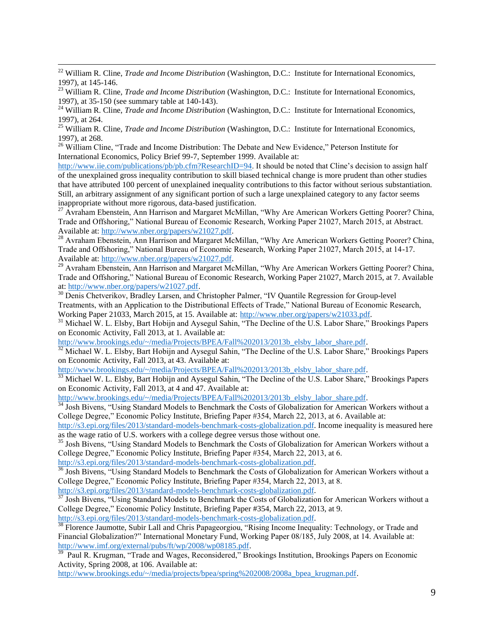<sup>22</sup> William R. Cline, *Trade and Income Distribution* (Washington, D.C.: Institute for International Economics, 1997), at 145-146.

 $\overline{\phantom{a}}$ 

<sup>23</sup> William R. Cline, *Trade and Income Distribution* (Washington, D.C.: Institute for International Economics, 1997), at 35-150 (see summary table at 140-143).

<sup>24</sup> William R. Cline, *Trade and Income Distribution* (Washington, D.C.: Institute for International Economics, 1997), at 264.

<sup>25</sup> William R. Cline, *Trade and Income Distribution* (Washington, D.C.: Institute for International Economics, 1997), at 268.

<sup>26</sup> William Cline, "Trade and Income Distribution: The Debate and New Evidence," Peterson Institute for International Economics, Policy Brief 99-7, September 1999. Available at:

[http://www.iie.com/publications/pb/pb.cfm?ResearchID=94.](http://www.iie.com/publications/pb/pb.cfm?ResearchID=94) It should be noted that Cline's decision to assign half of the unexplained gross inequality contribution to skill biased technical change is more prudent than other studies that have attributed 100 percent of unexplained inequality contributions to this factor without serious substantiation. Still, an arbitrary assignment of any significant portion of such a large unexplained category to any factor seems inappropriate without more rigorous, data-based justification.

<sup>27</sup> Avraham Ebenstein, Ann Harrison and Margaret McMillan, "Why Are American Workers Getting Poorer? China, Trade and Offshoring," National Bureau of Economic Research, Working Paper 21027, March 2015, at Abstract. Available at: [http://www.nber.org/papers/w21027.pdf.](http://www.nber.org/papers/w21027.pdf)

<sup>28</sup> Avraham Ebenstein, Ann Harrison and Margaret McMillan, "Why Are American Workers Getting Poorer? China, Trade and Offshoring," National Bureau of Economic Research, Working Paper 21027, March 2015, at 14-17. Available at: [http://www.nber.org/papers/w21027.pdf.](http://www.nber.org/papers/w21027.pdf)

<sup>29</sup> Avraham Ebenstein, Ann Harrison and Margaret McMillan, "Why Are American Workers Getting Poorer? China, Trade and Offshoring," National Bureau of Economic Research, Working Paper 21027, March 2015, at 7. Available at: [http://www.nber.org/papers/w21027.pdf.](http://www.nber.org/papers/w21027.pdf)

<sup>30</sup> Denis Chetverikov, Bradley Larsen, and Christopher Palmer, "IV Quantile Regression for Group-level Treatments, with an Application to the Distributional Effects of Trade," National Bureau of Economic Research, Working Paper 21033, March 2015, at 15. Available at: [http://www.nber.org/papers/w21033.pdf.](http://www.nber.org/papers/w21033.pdf)

<sup>31</sup> Michael W. L. Elsby, Bart Hobijn and Aysegul Sahin, "The Decline of the U.S. Labor Share," Brookings Papers on Economic Activity, Fall 2013, at 1. Available at:

[http://www.brookings.edu/~/media/Projects/BPEA/Fall%202013/2013b\\_elsby\\_labor\\_share.pdf.](http://www.brookings.edu/~/media/Projects/BPEA/Fall%202013/2013b_elsby_labor_share.pdf)

<sup>32</sup> Michael W. L. Elsby, Bart Hobijn and Aysegul Sahin, "The Decline of the U.S. Labor Share," Brookings Papers on Economic Activity, Fall 2013, at 43. Available at:

[http://www.brookings.edu/~/media/Projects/BPEA/Fall%202013/2013b\\_elsby\\_labor\\_share.pdf.](http://www.brookings.edu/~/media/Projects/BPEA/Fall%202013/2013b_elsby_labor_share.pdf)

<sup>33</sup> Michael W. L. Elsby, Bart Hobijn and Aysegul Sahin, "The Decline of the U.S. Labor Share," Brookings Papers on Economic Activity, Fall 2013, at 4 and 47. Available at:

[http://www.brookings.edu/~/media/Projects/BPEA/Fall%202013/2013b\\_elsby\\_labor\\_share.pdf.](http://www.brookings.edu/~/media/Projects/BPEA/Fall%202013/2013b_elsby_labor_share.pdf)

<sup>34</sup> Josh Bivens, "Using Standard Models to Benchmark the Costs of Globalization for American Workers without a College Degree," Economic Policy Institute, Briefing Paper #354, March 22, 2013, at 6. Available at:

[http://s3.epi.org/files/2013/standard-models-benchmark-costs-globalization.pdf.](http://s3.epi.org/files/2013/standard-models-benchmark-costs-globalization.pdf) Income inequality is measured here as the wage ratio of U.S. workers with a college degree versus those without one.

<sup>35</sup> Josh Bivens, "Using Standard Models to Benchmark the Costs of Globalization for American Workers without a College Degree," Economic Policy Institute, Briefing Paper #354, March 22, 2013, at 6.

[http://s3.epi.org/files/2013/standard-models-benchmark-costs-globalization.pdf.](http://s3.epi.org/files/2013/standard-models-benchmark-costs-globalization.pdf) 

<sup>36</sup> Josh Bivens, "Using Standard Models to Benchmark the Costs of Globalization for American Workers without a College Degree," Economic Policy Institute, Briefing Paper #354, March 22, 2013, at 8.

[http://s3.epi.org/files/2013/standard-models-benchmark-costs-globalization.pdf.](http://s3.epi.org/files/2013/standard-models-benchmark-costs-globalization.pdf)

<sup>37</sup> Josh Bivens, "Using Standard Models to Benchmark the Costs of Globalization for American Workers without a College Degree," Economic Policy Institute, Briefing Paper #354, March 22, 2013, at 9.

[http://s3.epi.org/files/2013/standard-models-benchmark-costs-globalization.pdf.](http://s3.epi.org/files/2013/standard-models-benchmark-costs-globalization.pdf)

<sup>38</sup> Florence Jaumotte, Subir Lall and Chris Papageorgiou, "Rising Income Inequality: Technology, or Trade and Financial Globalization?" International Monetary Fund, Working Paper 08/185, July 2008, at 14. Available at: [http://www.imf.org/external/pubs/ft/wp/2008/wp08185.pdf.](http://www.imf.org/external/pubs/ft/wp/2008/wp08185.pdf)

39 Paul R. Krugman, "Trade and Wages, Reconsidered," Brookings Institution, Brookings Papers on Economic Activity, Spring 2008, at 106. Available at:

[http://www.brookings.edu/~/media/projects/bpea/spring%202008/2008a\\_bpea\\_krugman.pdf.](http://www.brookings.edu/~/media/projects/bpea/spring%202008/2008a_bpea_krugman.pdf)